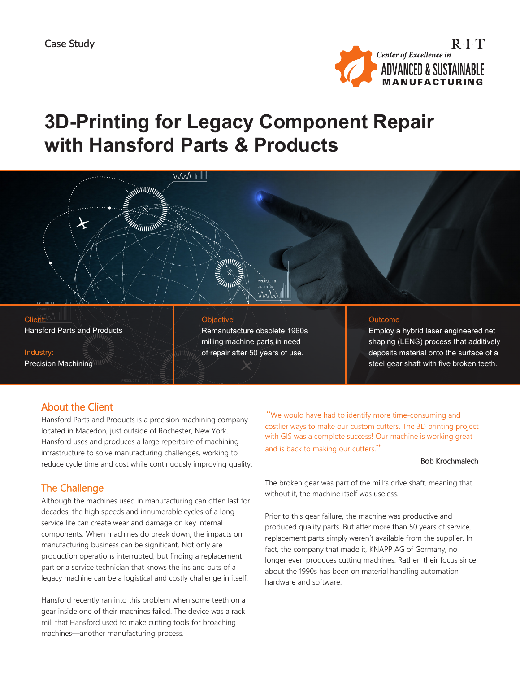

# **3D-Printing for Legacy Component Repair with Hansford Parts & Products**



#### **Objective**

Remanufacture obsolete 1960s milling machine parts in need of repair after 50 years of use.

#### **Outcome**

Employ a hybrid laser engineered net shaping (LENS) process that additively deposits material onto the surface of a steel gear shaft with five broken teeth.

## About the Client

Hansford Parts and Products

Precision Machining

Client:

Industry:

Hansford Parts and Products is a precision machining company located in Macedon, just outside of Rochester, New York. Hansford uses and produces a large repertoire of machining infrastructure to solve manufacturing challenges, working to reduce cycle time and cost while continuously improving quality.

## The Challenge

Although the machines used in manufacturing can often last for decades, the high speeds and innumerable cycles of a long service life can create wear and damage on key internal components. When machines do break down, the impacts on manufacturing business can be significant. Not only are production operations interrupted, but finding a replacement part or a service technician that knows the ins and outs of a legacy machine can be a logistical and costly challenge in itself.

Hansford recently ran into this problem when some teeth on a gear inside one of their machines failed. The device was a rack mill that Hansford used to make cutting tools for broaching machines—another manufacturing process.

*"*We would have had to identify more time-consuming and costlier ways to make our custom cutters. The 3D printing project with GIS was a complete success! Our machine is working great and is back to making our cutters."

#### Bob Krochmalech

The broken gear was part of the mill's drive shaft, meaning that without it, the machine itself was useless.

Prior to this gear failure, the machine was productive and produced quality parts. But after more than 50 years of service, replacement parts simply weren't available from the supplier. In fact, the company that made it, KNAPP AG of Germany, no longer even produces cutting machines. Rather, their focus since about the 1990s has been on material handling automation hardware and software.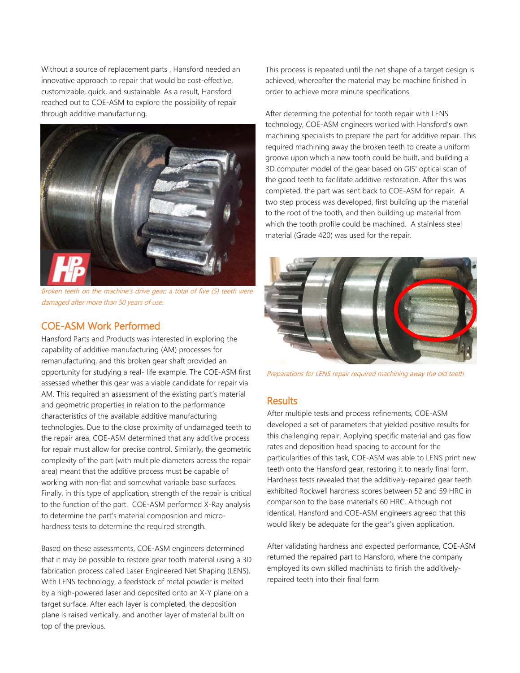Without a source of replacement parts , Hansford needed an innovative approach to repair that would be cost-effective, customizable, quick, and sustainable. As a result, Hansford reached out to COE-ASM to explore the possibility of repair through additive manufacturing.



Broken teeth on the machine's drive gear; a total of five (5) teeth were damaged after more than 50 years of use.

## COE-ASM Work Performed

Hansford Parts and Products was interested in exploring the capability of additive manufacturing (AM) processes for remanufacturing, and this broken gear shaft provided an opportunity for studying a real- life example. The COE-ASM first assessed whether this gear was a viable candidate for repair via AM. This required an assessment of the existing part's material and geometric properties in relation to the performance characteristics of the available additive manufacturing technologies. Due to the close proximity of undamaged teeth to the repair area, COE-ASM determined that any additive process for repair must allow for precise control. Similarly, the geometric complexity of the part (with multiple diameters across the repair area) meant that the additive process must be capable of working with non-flat and somewhat variable base surfaces. Finally, in this type of application, strength of the repair is critical to the function of the part. COE-ASM performed X-Ray analysis to determine the part's material composition and microhardness tests to determine the required strength.

Based on these assessments, COE-ASM engineers determined that it may be possible to restore gear tooth material using a 3D fabrication process called Laser Engineered Net Shaping (LENS). With LENS technology, a feedstock of metal powder is melted by a high-powered laser and deposited onto an X-Y plane on a target surface. After each layer is completed, the deposition plane is raised vertically, and another layer of material built on top of the previous.

This process is repeated until the net shape of a target design is achieved, whereafter the material may be machine finished in order to achieve more minute specifications.

After determing the potential for tooth repair with LENS technology, COE-ASM engineers worked with Hansford's own machining specialists to prepare the part for additive repair. This required machining away the broken teeth to create a uniform groove upon which a new tooth could be built, and building a 3D computer model of the gear based on GIS' optical scan of the good teeth to facilitate additive restoration. After this was completed, the part was sent back to COE-ASM for repair. A two step process was developed, first building up the material to the root of the tooth, and then building up material from which the tooth profile could be machined. A stainless steel material (Grade 420) was used for the repair.



Preparations for LENS repair required machining away the old teeth

### **Results**

After multiple tests and process refinements, COE-ASM developed a set of parameters that yielded positive results for this challenging repair. Applying specific material and gas flow rates and deposition head spacing to account for the particularities of this task, COE-ASM was able to LENS print new teeth onto the Hansford gear, restoring it to nearly final form. Hardness tests revealed that the additively-repaired gear teeth exhibited Rockwell hardness scores between 52 and 59 HRC in comparison to the base material's 60 HRC. Although not identical, Hansford and COE-ASM engineers agreed that this would likely be adequate for the gear's given application.

After validating hardness and expected performance, COE-ASM returned the repaired part to Hansford, where the company employed its own skilled machinists to finish the additivelyrepaired teeth into their final form